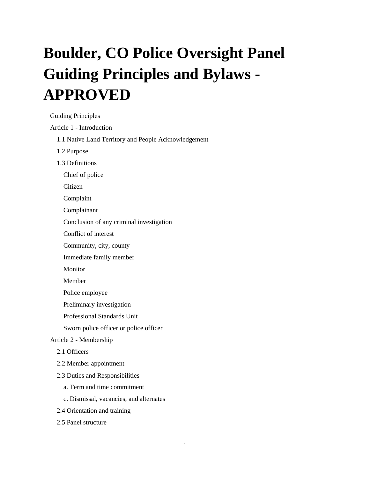# **Boulder, CO Police Oversight Panel Guiding Principles and Bylaws - APPROVED**

[Guiding Principles](#page-2-0)

Article 1 - [Introduction](#page-2-1)

- [1.1 Native Land Territory and People Acknowledgement](#page-2-2)
- [1.2 Purpose](#page-2-3)
- [1.3 Definitions](#page-3-0)
	- [Chief of police](#page-3-1)

[Citizen](#page-3-2)

[Complaint](#page-3-3)

[Complainant](#page-3-4)

[Conclusion of any criminal investigation](#page-3-5)

[Conflict of interest](#page-3-6)

[Community, city, county](#page-3-7)

[Immediate family member](#page-3-8)

[Monitor](#page-3-9)

Member

[Police employee](#page-4-0)

[Preliminary investigation](#page-4-1)

[Professional Standards Unit](#page-4-2)

[Sworn police officer or police officer](#page-4-3)

#### Article 2 - [Membership](#page-4-4)

- [2.1 Officers](#page-4-5)
- [2.2 Member appointment](#page-4-6)
- [2.3 Duties and Responsibilities](#page-5-0)
	- [a. Term and time commitment](#page-5-1)
	- [c. Dismissal, vacancies, and alternates](#page-5-2)
- [2.4 Orientation and training](#page-5-3)
- [2.5 Panel structure](#page-5-4)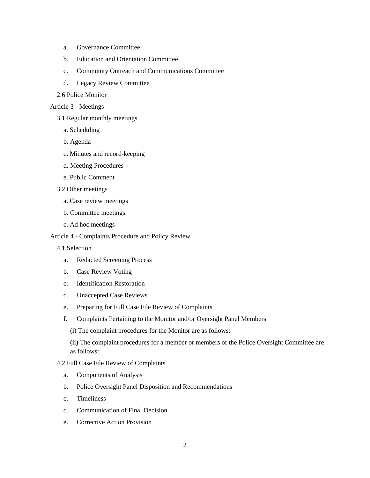- a. [Governance Committee](#page-5-5)
- b. [Education and Orientation Committee](#page-6-0)
- c. [Community Outreach and Communications Committee](#page-6-1)
- d. [Legacy Review Committee](#page-6-2)
- [2.6 Police Monitor](#page-6-3)

#### [Article 3 -](#page-7-0) Meetings

- [3.1 Regular monthly meetings](#page-7-1)
	- [a. Scheduling](#page-7-2)
	- [b. Agenda](#page-7-3)
	- [c. Minutes and record-keeping](#page-7-4)
	- [d. Meeting Procedures](#page-7-5)
	- [e. Public Comment](#page-7-6)
- [3.2 Other meetings](#page-7-7)
	- [a. Case review meetings](#page-7-8)
	- [b. Committee meetings](#page-7-9)
	- [c. Ad hoc meetings](#page-8-0)

#### Article 4 - [Complaints Procedure and Policy Review](#page-8-1)

- [4.1 Selection](#page-8-2)
	- a. [Redacted Screening Process](#page-8-3)
	- b. [Case Review Voting](#page-8-4)
	- c. [Identification Restoration](#page-8-5)
	- d. [Unaccepted Case Reviews](#page-9-0)
	- e. [Preparing for Full Case File Review of Complaints](#page-9-1)
	- f. [Complaints Pertaining to the Monitor and/or Oversight Panel Members](#page-9-2)
		- [\(i\) The complaint procedures for the Monitor are as follows:](#page-9-3)

[\(ii\) The complaint procedures for a member or members of the Police Oversight Committee are](#page-9-4)  [as follows:](#page-9-4)

#### [4.2 Full Case File Review of Complaints](#page-9-5)

- a. [Components of Analysis](#page-10-0)
- b. [Police Oversight Panel Disposition and Recommendations](#page-10-1)
- c. [Timeliness](#page-10-2)
- d. [Communication of Final Decision](#page-10-3)
- e. [Corrective Action Provision](#page-10-4)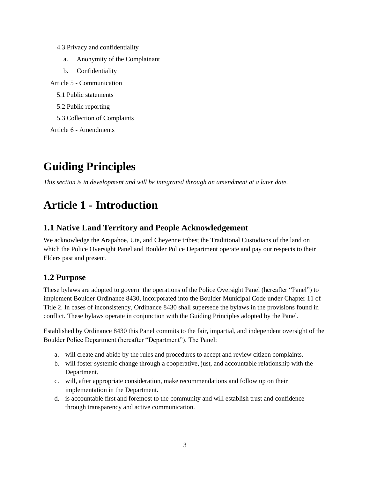- [4.3 Privacy and confidentiality](#page-11-0)
	- a. [Anonymity of the Complainant](#page-11-1)
	- b. [Confidentiality](#page-11-2)

Article 5 - [Communication](#page-12-0)

- [5.1 Public statements](#page-12-1)
- [5.2 Public reporting](#page-12-2)
- [5.3 Collection of Complaints](#page-12-3)

Article 6 - [Amendments](#page-12-4)

# <span id="page-2-0"></span>**Guiding Principles**

*This section is in development and will be integrated through an amendment at a later date.*

# <span id="page-2-1"></span>**Article 1 - Introduction**

### <span id="page-2-2"></span>**1.1 Native Land Territory and People Acknowledgement**

We acknowledge the Arapahoe, Ute, and Cheyenne tribes; the Traditional Custodians of the land on which the Police Oversight Panel and Boulder Police Department operate and pay our respects to their Elders past and present.

# <span id="page-2-3"></span>**1.2 Purpose**

These bylaws are adopted to govern the operations of the Police Oversight Panel (hereafter "Panel") to implement Boulder Ordinance 8430, incorporated into the Boulder Municipal Code under Chapter 11 of Title 2. In cases of inconsistency, Ordinance 8430 shall supersede the bylaws in the provisions found in conflict. These bylaws operate in conjunction with the Guiding Principles adopted by the Panel.

Established by Ordinance 8430 this Panel commits to the fair, impartial, and independent oversight of the Boulder Police Department (hereafter "Department"). The Panel:

- a. will create and abide by the rules and procedures to accept and review citizen complaints.
- b. will foster systemic change through a cooperative, just, and accountable relationship with the Department.
- c. will, after appropriate consideration, make recommendations and follow up on their implementation in the Department.
- d. is accountable first and foremost to the community and will establish trust and confidence through transparency and active communication.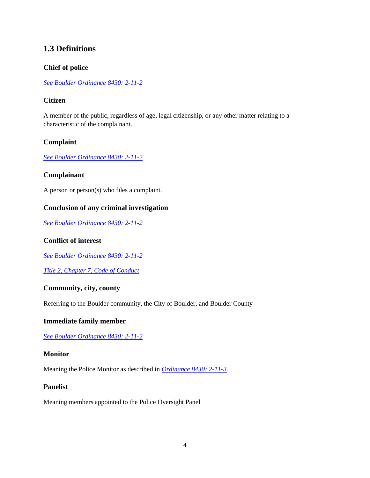### <span id="page-3-0"></span>**1.3 Definitions**

#### <span id="page-3-1"></span>**Chief of police**

*[See Boulder Ordinance 8430:](https://mcclibraryfunctions.azurewebsites.us/api/ordinanceDownload/18020/1054430/pdf) 2-11-2*

#### <span id="page-3-2"></span>**Citizen**

A member of the public, regardless of age, legal citizenship, or any other matter relating to a characteristic of the complainant.

#### <span id="page-3-3"></span>**Complaint**

*[See Boulder Ordinance 8430:](https://mcclibraryfunctions.azurewebsites.us/api/ordinanceDownload/18020/1054430/pdf) 2-11-2*

#### <span id="page-3-4"></span>**Complainant**

A person or person(s) who files a complaint.

#### <span id="page-3-5"></span>**Conclusion of any criminal investigation**

*[See Boulder Ordinance 8430:](https://mcclibraryfunctions.azurewebsites.us/api/ordinanceDownload/18020/1054430/pdf) 2-11-2*

#### <span id="page-3-6"></span>**Conflict of interest**

*[See Boulder Ordinance 8430:](https://mcclibraryfunctions.azurewebsites.us/api/ordinanceDownload/18020/1054430/pdf) 2-11-2*

*[Title 2, Chapter 7, Code of Conduct](https://library.municode.com/co/boulder/codes/municipal_code?nodeId=TIT2GOOR_CH7COCO)*

#### <span id="page-3-7"></span>**Community, city, county**

Referring to the Boulder community, the City of Boulder, and Boulder County

#### <span id="page-3-8"></span>**Immediate family member**

*[See Boulder Ordinance 8430:](https://mcclibraryfunctions.azurewebsites.us/api/ordinanceDownload/18020/1054430/pdf) 2-11-2*

#### <span id="page-3-9"></span>**Monitor**

Meaning the Police Monitor as described in *[Ordinance 8430:](https://mcclibraryfunctions.azurewebsites.us/api/ordinanceDownload/18020/1054430/pdf) 2-11-3.*

#### **Panelist**

Meaning members appointed to the Police Oversight Panel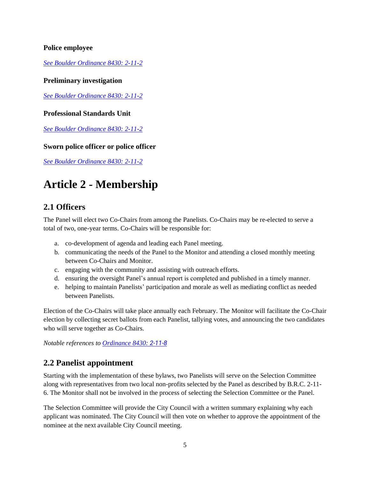#### <span id="page-4-0"></span>**Police employee**

*[See Boulder Ordinance 8430:](https://mcclibraryfunctions.azurewebsites.us/api/ordinanceDownload/18020/1054430/pdf) 2-11-2*

#### <span id="page-4-1"></span>**Preliminary investigation**

*[See Boulder Ordinance 8430:](https://mcclibraryfunctions.azurewebsites.us/api/ordinanceDownload/18020/1054430/pdf) 2-11-2*

#### <span id="page-4-2"></span>**Professional Standards Unit**

*[See Boulder Ordinance 8430:](https://mcclibraryfunctions.azurewebsites.us/api/ordinanceDownload/18020/1054430/pdf) 2-11-2*

#### <span id="page-4-3"></span>**Sworn police officer or police officer**

*[See Boulder Ordinance 8430:](https://mcclibraryfunctions.azurewebsites.us/api/ordinanceDownload/18020/1054430/pdf) 2-11-2*

# <span id="page-4-4"></span>**Article 2 - Membership**

#### <span id="page-4-5"></span>**2.1 Officers**

The Panel will elect two Co-Chairs from among the Panelists. Co-Chairs may be re-elected to serve a total of two, one-year terms. Co-Chairs will be responsible for:

- a. co-development of agenda and leading each Panel meeting.
- b. communicating the needs of the Panel to the Monitor and attending a closed monthly meeting between Co-Chairs and Monitor.
- c. engaging with the community and assisting with outreach efforts.
- d. ensuring the oversight Panel's annual report is completed and published in a timely manner.
- e. helping to maintain Panelists' participation and morale as well as mediating conflict as needed between Panelists.

Election of the Co-Chairs will take place annually each February. The Monitor will facilitate the Co-Chair election by collecting secret ballots from each Panelist, tallying votes, and announcing the two candidates who will serve together as Co-Chairs.

*Notable references to [Ordinance 8430:](https://mcclibraryfunctions.azurewebsites.us/api/ordinanceDownload/18020/1054430/pdf) 2-1[1-8](https://mcclibraryfunctions.azurewebsites.us/api/ordinanceDownload/18020/1054430/pdf)*

### <span id="page-4-6"></span>**2.2 Panelist appointment**

Starting with the implementation of these bylaws, two Panelists will serve on the Selection Committee along with representatives from two local non-profits selected by the Panel as described by B.R.C. 2-11- 6. The Monitor shall not be involved in the process of selecting the Selection Committee or the Panel.

The Selection Committee will provide the City Council with a written summary explaining why each applicant was nominated. The City Council will then vote on whether to approve the appointment of the nominee at the next available City Council meeting.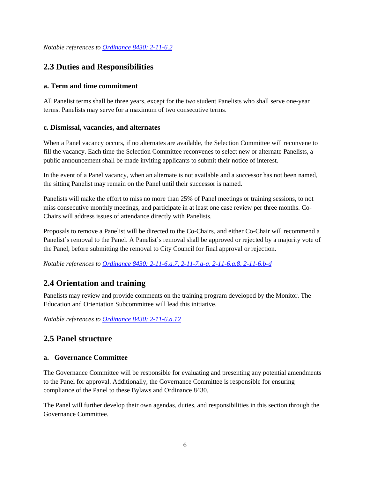*Notable references to [Ordinance 8430:](https://mcclibraryfunctions.azurewebsites.us/api/ordinanceDownload/18020/1054430/pdf) 2-11-6.2*

### <span id="page-5-0"></span>**2.3 Duties and Responsibilities**

#### <span id="page-5-1"></span>**a. Term and time commitment**

All Panelist terms shall be three years, except for the two student Panelists who shall serve one-year terms. Panelists may serve for a maximum of two consecutive terms.

#### <span id="page-5-2"></span>**c. Dismissal, vacancies, and alternates**

When a Panel vacancy occurs, if no alternates are available, the Selection Committee will reconvene to fill the vacancy. Each time the Selection Committee reconvenes to select new or alternate Panelists, a public announcement shall be made inviting applicants to submit their notice of interest.

In the event of a Panel vacancy, when an alternate is not available and a successor has not been named, the sitting Panelist may remain on the Panel until their successor is named.

Panelists will make the effort to miss no more than 25% of Panel meetings or training sessions, to not miss consecutive monthly meetings, and participate in at least one case review per three months. Co-Chairs will address issues of attendance directly with Panelists.

Proposals to remove a Panelist will be directed to the Co-Chairs, and either Co-Chair will recommend a Panelist's removal to the Panel. A Panelist's removal shall be approved or rejected by a majority vote of the Panel, before submitting the removal to City Council for final approval or rejection.

*Notable references to [Ordinance 8430: 2-11-6.a.7, 2-11-7.a-g, 2-11-6.a.8, 2-11-6.b-d](https://mcclibraryfunctions.azurewebsites.us/api/ordinanceDownload/18020/1054430/pdf)*

# <span id="page-5-3"></span>**2.4 Orientation and training**

Panelists may review and provide comments on the training program developed by the Monitor. The Education and Orientation Subcommittee will lead this initiative.

*Notable references to [Ordinance 8430: 2-11-6.a.12](https://mcclibraryfunctions.azurewebsites.us/api/ordinanceDownload/18020/1054430/pdf)*

# <span id="page-5-4"></span>**2.5 Panel structure**

#### <span id="page-5-5"></span>**a. Governance Committee**

The Governance Committee will be responsible for evaluating and presenting any potential amendments to the Panel for approval. Additionally, the Governance Committee is responsible for ensuring compliance of the Panel to these Bylaws and Ordinance 8430.

The Panel will further develop their own agendas, duties, and responsibilities in this section through the Governance Committee.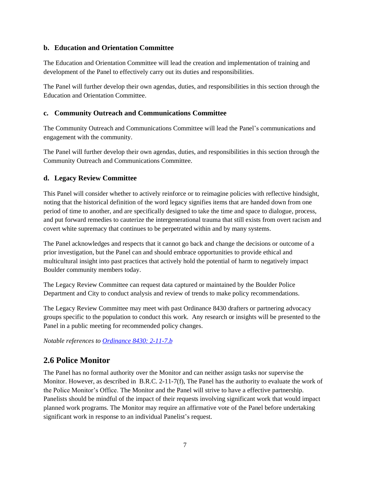#### <span id="page-6-0"></span>**b. Education and Orientation Committee**

The Education and Orientation Committee will lead the creation and implementation of training and development of the Panel to effectively carry out its duties and responsibilities.

The Panel will further develop their own agendas, duties, and responsibilities in this section through the Education and Orientation Committee.

#### <span id="page-6-1"></span>**c. Community Outreach and Communications Committee**

The Community Outreach and Communications Committee will lead the Panel's communications and engagement with the community.

The Panel will further develop their own agendas, duties, and responsibilities in this section through the Community Outreach and Communications Committee.

#### <span id="page-6-2"></span>**d. Legacy Review Committee**

This Panel will consider whether to actively reinforce or to reimagine policies with reflective hindsight, noting that the historical definition of the word legacy signifies items that are handed down from one period of time to another, and are specifically designed to take the time and space to dialogue, process, and put forward remedies to cauterize the intergenerational trauma that still exists from overt racism and covert white supremacy that continues to be perpetrated within and by many systems.

The Panel acknowledges and respects that it cannot go back and change the decisions or outcome of a prior investigation, but the Panel can and should embrace opportunities to provide ethical and multicultural insight into past practices that actively hold the potential of harm to negatively impact Boulder community members today.

The Legacy Review Committee can request data captured or maintained by the Boulder Police Department and City to conduct analysis and review of trends to make policy recommendations.

The Legacy Review Committee may meet with past Ordinance 8430 drafters or partnering advocacy groups specific to the population to conduct this work. Any research or insights will be presented to the Panel in a public meeting for recommended policy changes.

*Notable references to [Ordinance 8430: 2-11-7.b](https://mcclibraryfunctions.azurewebsites.us/api/ordinanceDownload/18020/1054430/pdf)*

### <span id="page-6-3"></span>**2.6 Police Monitor**

The Panel has no formal authority over the Monitor and can neither assign tasks nor supervise the Monitor. However, as described in B.R.C. 2-11-7(f), The Panel has the authority to evaluate the work of the Police Monitor's Office. The Monitor and the Panel will strive to have a effective partnership. Panelists should be mindful of the impact of their requests involving significant work that would impact planned work programs. The Monitor may require an affirmative vote of the Panel before undertaking significant work in response to an individual Panelist's request.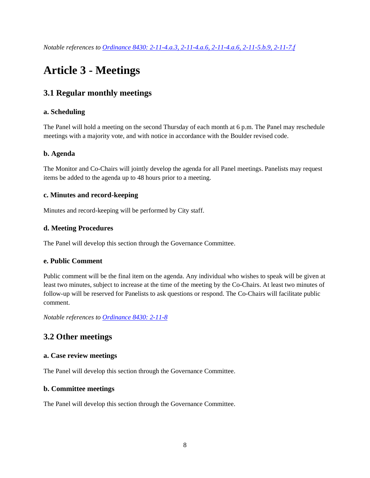# <span id="page-7-0"></span>**Article 3 - Meetings**

# <span id="page-7-1"></span>**3.1 Regular monthly meetings**

#### <span id="page-7-2"></span>**a. Scheduling**

The Panel will hold a meeting on the second Thursday of each month at 6 p.m. The Panel may reschedule meetings with a majority vote, and with notice in accordance with the Boulder revised code.

#### <span id="page-7-3"></span>**b. Agenda**

The Monitor and Co-Chairs will jointly develop the agenda for all Panel meetings. Panelists may request items be added to the agenda up to 48 hours prior to a meeting.

#### <span id="page-7-4"></span>**c. Minutes and record-keeping**

Minutes and record-keeping will be performed by City staff.

#### <span id="page-7-5"></span>**d. Meeting Procedures**

The Panel will develop this section through the Governance Committee.

#### <span id="page-7-6"></span>**e. Public Comment**

Public comment will be the final item on the agenda. Any individual who wishes to speak will be given at least two minutes, subject to increase at the time of the meeting by the Co-Chairs. At least two minutes of follow-up will be reserved for Panelists to ask questions or respond. The Co-Chairs will facilitate public comment.

*Notable references to [Ordinance 8430: 2-11-8](https://mcclibraryfunctions.azurewebsites.us/api/ordinanceDownload/18020/1054430/pdf)*

# <span id="page-7-7"></span>**3.2 Other meetings**

#### <span id="page-7-8"></span>**a. Case review meetings**

The Panel will develop this section through the Governance Committee.

#### <span id="page-7-9"></span>**b. Committee meetings**

The Panel will develop this section through the Governance Committee.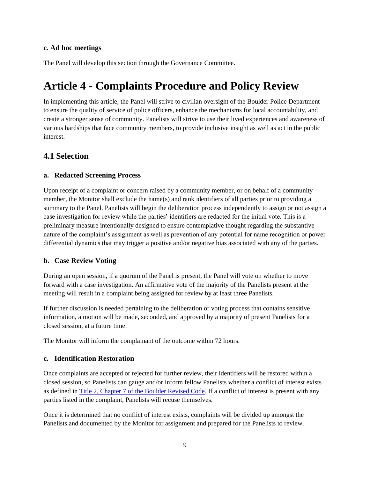#### <span id="page-8-0"></span>**c. Ad hoc meetings**

The Panel will develop this section through the Governance Committee.

# <span id="page-8-1"></span>**Article 4 - Complaints Procedure and Policy Review**

In implementing this article, the Panel will strive to civilian oversight of the Boulder Police Department to ensure the quality of service of police officers, enhance the mechanisms for local accountability, and create a stronger sense of community. Panelists will strive to use their lived experiences and awareness of various hardships that face community members, to provide inclusive insight as well as act in the public interest.

#### <span id="page-8-2"></span>**4.1 Selection**

#### <span id="page-8-3"></span>**a. Redacted Screening Process**

Upon receipt of a complaint or concern raised by a community member, or on behalf of a community member, the Monitor shall exclude the name(s) and rank identifiers of all parties prior to providing a summary to the Panel. Panelists will begin the deliberation process independently to assign or not assign a case investigation for review while the parties' identifiers are redacted for the initial vote. This is a preliminary measure intentionally designed to ensure contemplative thought regarding the substantive nature of the complaint's assignment as well as prevention of any potential for name recognition or power differential dynamics that may trigger a positive and/or negative bias associated with any of the parties.

#### <span id="page-8-4"></span>**b. Case Review Voting**

During an open session, if a quorum of the Panel is present, the Panel will vote on whether to move forward with a case investigation. An affirmative vote of the majority of the Panelists present at the meeting will result in a complaint being assigned for review by at least three Panelists.

If further discussion is needed pertaining to the deliberation or voting process that contains sensitive information, a motion will be made, seconded, and approved by a majority of present Panelists for a closed session, at a future time.

The Monitor will inform the complainant of the outcome within 72 hours.

#### <span id="page-8-5"></span>**c. Identification Restoration**

Once complaints are accepted or rejected for further review, their identifiers will be restored within a closed session, so Panelists can gauge and/or inform fellow Panelists whether a conflict of interest exists as defined in [Title 2, Chapter 7 of the Boulder Revised Code.](https://library.municode.com/co/boulder/codes/municipal_code?nodeId=TIT2GOOR_CH7COCO) If a conflict of interest is present with any parties listed in the complaint, Panelists will recuse themselves.

Once it is determined that no conflict of interest exists, complaints will be divided up amongst the Panelists and documented by the Monitor for assignment and prepared for the Panelists to review.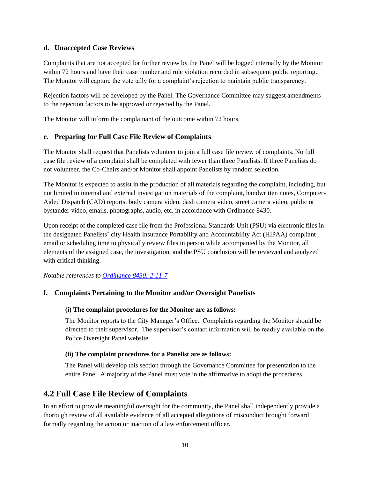#### <span id="page-9-0"></span>**d. Unaccepted Case Reviews**

Complaints that are not accepted for further review by the Panel will be logged internally by the Monitor within 72 hours and have their case number and rule violation recorded in subsequent public reporting. The Monitor will capture the vote tally for a complaint's rejection to maintain public transparency.

Rejection factors will be developed by the Panel. The Governance Committee may suggest amendments to the rejection factors to be approved or rejected by the Panel.

The Monitor will inform the complainant of the outcome within 72 hours.

#### <span id="page-9-1"></span>**e. Preparing for Full Case File Review of Complaints**

The Monitor shall request that Panelists volunteer to join a full case file review of complaints. No full case file review of a complaint shall be completed with fewer than three Panelists. If three Panelists do not volunteer, the Co-Chairs and/or Monitor shall appoint Panelists by random selection.

The Monitor is expected to assist in the production of all materials regarding the complaint, including, but not limited to internal and external investigation materials of the complaint, handwritten notes, Computer-Aided Dispatch (CAD) reports, body camera video, dash camera video, street camera video, public or bystander video, emails, photographs, audio, etc. in accordance with Ordinance 8430.

Upon receipt of the completed case file from the Professional Standards Unit (PSU) via electronic files in the designated Panelists' city Health Insurance Portability and Accountability Act (HIPAA) compliant email or scheduling time to physically review files in person while accompanied by the Monitor, all elements of the assigned case, the investigation, and the PSU conclusion will be reviewed and analyzed with critical thinking.

*Notable references to [Ordinance 8430: 2-11-7](https://mcclibraryfunctions.azurewebsites.us/api/ordinanceDownload/18020/1054430/pdf)*

#### <span id="page-9-3"></span><span id="page-9-2"></span>**f. Complaints Pertaining to the Monitor and/or Oversight Panelists**

#### **(i) The complaint procedures for the Monitor are as follows:**

The Monitor reports to the City Manager's Office. Complaints regarding the Monitor should be directed to their supervisor. The supervisor's contact information will be readily available on the Police Oversight Panel website.

#### <span id="page-9-4"></span>**(ii) The complaint procedures for a Panelist are as follows:**

The Panel will develop this section through the Governance Committee for presentation to the entire Panel. A majority of the Panel must vote in the affirmative to adopt the procedures.

### <span id="page-9-5"></span>**4.2 Full Case File Review of Complaints**

In an effort to provide meaningful oversight for the community, the Panel shall independently provide a thorough review of all available evidence of all accepted allegations of misconduct brought forward formally regarding the action or inaction of a law enforcement officer.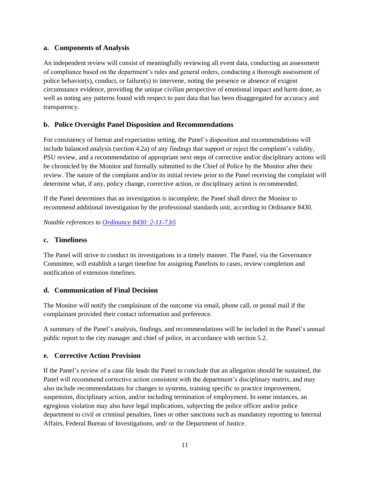#### <span id="page-10-0"></span>**a. Components of Analysis**

An independent review will consist of meaningfully reviewing all event data, conducting an assessment of compliance based on the department's rules and general orders, conducting a thorough assessment of police behavior(s), conduct, or failure(s) to intervene, noting the presence or absence of exigent circumstance evidence, providing the unique civilian perspective of emotional impact and harm done, as well as noting any patterns found with respect to past data that has been disaggregated for accuracy and transparency.

#### <span id="page-10-1"></span>**b. Police Oversight Panel Disposition and Recommendations**

For consistency of format and expectation setting, the Panel's disposition and recommendations will include balanced analysis (section 4.2a) of any findings that support or reject the complaint's validity, PSU review, and a recommendation of appropriate next steps of corrective and/or disciplinary actions will be chronicled by the Monitor and formally submitted to the Chief of Police by the Monitor after their review. The nature of the complaint and/or its initial review prior to the Panel receiving the complaint will determine what, if any, policy change, corrective action, or disciplinary action is recommended.

If the Panel determines that an investigation is incomplete, the Panel shall direct the Monitor to recommend additional investigation by the professional standards unit, according to Ordinance 8430.

*Notable references to [Ordinance 8430: 2-11-7.b5](https://mcclibraryfunctions.azurewebsites.us/api/ordinanceDownload/18020/1054430/pdf)*

#### <span id="page-10-2"></span>**c. Timeliness**

The Panel will strive to conduct its investigations in a timely manner. The Panel, via the Governance Committee, will establish a target timeline for assigning Panelists to cases, review completion and notification of extension timelines.

#### <span id="page-10-3"></span>**d. Communication of Final Decision**

The Monitor will notify the complainant of the outcome via email, phone call, or postal mail if the complainant provided their contact information and preference.

A summary of the Panel's analysis, findings, and recommendations will be included in the Panel's annual public report to the city manager and chief of police, in accordance with section 5.2.

#### <span id="page-10-4"></span>**e. Corrective Action Provision**

If the Panel's review of a case file leads the Panel to conclude that an allegation should be sustained, the Panel will recommend corrective action consistent with the department's disciplinary matrix, and may also include recommendations for changes to systems, training specific to practice improvement, suspension, disciplinary action, and/or including termination of employment. In some instances, an egregious violation may also have legal implications, subjecting the police officer and/or police department to civil or criminal penalties, fines or other sanctions such as mandatory reporting to Internal Affairs, Federal Bureau of Investigations, and/ or the Department of Justice.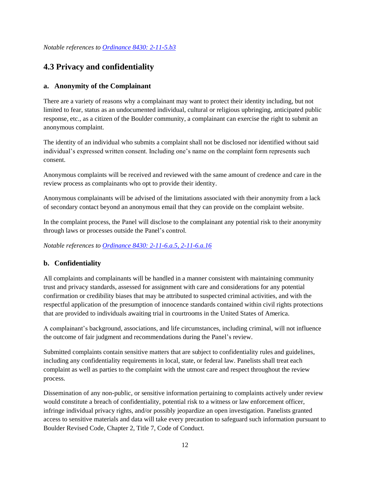*Notable references to [Ordinance 8430: 2-11-5.b3](https://mcclibraryfunctions.azurewebsites.us/api/ordinanceDownload/18020/1054430/pdf)*

# <span id="page-11-0"></span>**4.3 Privacy and confidentiality**

#### <span id="page-11-1"></span>**a. Anonymity of the Complainant**

There are a variety of reasons why a complainant may want to protect their identity including, but not limited to fear, status as an undocumented individual, cultural or religious upbringing, anticipated public response, etc., as a citizen of the Boulder community, a complainant can exercise the right to submit an anonymous complaint.

The identity of an individual who submits a complaint shall not be disclosed nor identified without said individual's expressed written consent. Including one's name on the complaint form represents such consent.

Anonymous complaints will be received and reviewed with the same amount of credence and care in the review process as complainants who opt to provide their identity.

Anonymous complainants will be advised of the limitations associated with their anonymity from a lack of secondary contact beyond an anonymous email that they can provide on the complaint website.

In the complaint process, the Panel will disclose to the complainant any potential risk to their anonymity through laws or processes outside the Panel's control.

*Notable references to [Ordinance 8430: 2-11-6.a.5, 2-11-6.a.16](https://mcclibraryfunctions.azurewebsites.us/api/ordinanceDownload/18020/1054430/pdf)*

#### <span id="page-11-2"></span>**b. Confidentiality**

All complaints and complainants will be handled in a manner consistent with maintaining community trust and privacy standards, assessed for assignment with care and considerations for any potential confirmation or credibility biases that may be attributed to suspected criminal activities, and with the respectful application of the presumption of innocence standards contained within civil rights protections that are provided to individuals awaiting trial in courtrooms in the United States of America.

A complainant's background, associations, and life circumstances, including criminal, will not influence the outcome of fair judgment and recommendations during the Panel's review.

Submitted complaints contain sensitive matters that are subject to confidentiality rules and guidelines, including any confidentiality requirements in local, state, or federal law. Panelists shall treat each complaint as well as parties to the complaint with the utmost care and respect throughout the review process.

Dissemination of any non-public, or sensitive information pertaining to complaints actively under review would constitute a breach of confidentiality, potential risk to a witness or law enforcement officer, infringe individual privacy rights, and/or possibly jeopardize an open investigation. Panelists granted access to sensitive materials and data will take every precaution to safeguard such information pursuant to Boulder Revised Code, Chapter 2, Title 7, Code of Conduct.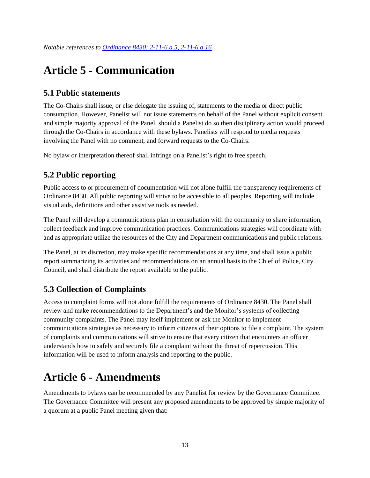# <span id="page-12-0"></span>**Article 5 - Communication**

# <span id="page-12-1"></span>**5.1 Public statements**

The Co-Chairs shall issue, or else delegate the issuing of, statements to the media or direct public consumption. However, Panelist will not issue statements on behalf of the Panel without explicit consent and simple majority approval of the Panel, should a Panelist do so then disciplinary action would proceed through the Co-Chairs in accordance with these bylaws. Panelists will respond to media requests involving the Panel with no comment, and forward requests to the Co-Chairs.

No bylaw or interpretation thereof shall infringe on a Panelist's right to free speech.

# <span id="page-12-2"></span>**5.2 Public reporting**

Public access to or procurement of documentation will not alone fulfill the transparency requirements of Ordinance 8430. All public reporting will strive to be accessible to all peoples. Reporting will include visual aids, definitions and other assistive tools as needed.

The Panel will develop a communications plan in consultation with the community to share information, collect feedback and improve communication practices. Communications strategies will coordinate with and as appropriate utilize the resources of the City and Department communications and public relations.

The Panel, at its discretion, may make specific recommendations at any time, and shall issue a public report summarizing its activities and recommendations on an annual basis to the Chief of Police, City Council, and shall distribute the report available to the public.

# <span id="page-12-3"></span>**5.3 Collection of Complaints**

Access to complaint forms will not alone fulfill the requirements of Ordinance 8430. The Panel shall review and make recommendations to the Department's and the Monitor's systems of collecting community complaints. The Panel may itself implement or ask the Monitor to implement communications strategies as necessary to inform citizens of their options to file a complaint. The system of complaints and communications will strive to ensure that every citizen that encounters an officer understands how to safely and securely file a complaint without the threat of repercussion. This information will be used to inform analysis and reporting to the public.

# <span id="page-12-4"></span>**Article 6 - Amendments**

Amendments to bylaws can be recommended by any Panelist for review by the Governance Committee. The Governance Committee will present any proposed amendments to be approved by simple majority of a quorum at a public Panel meeting given that: